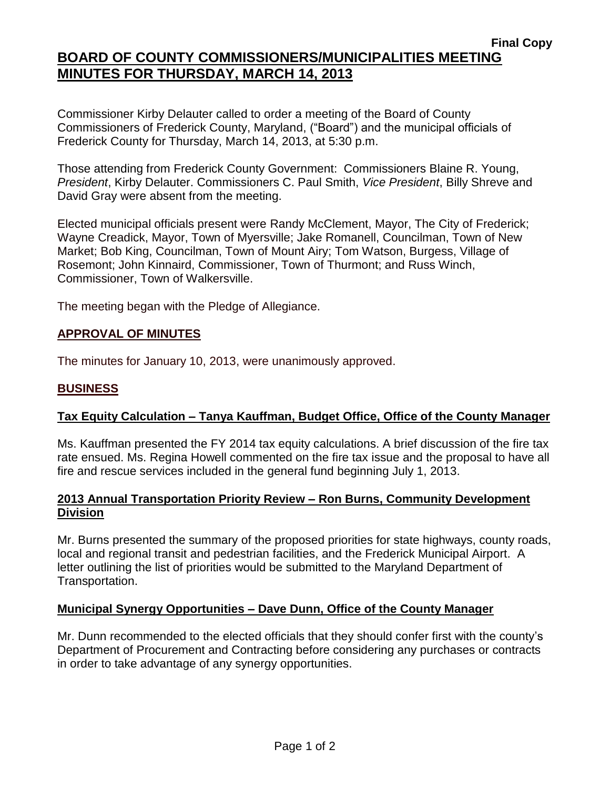## **BOARD OF COUNTY COMMISSIONERS/MUNICIPALITIES MEETING MINUTES FOR THURSDAY, MARCH 14, 2013**

Commissioner Kirby Delauter called to order a meeting of the Board of County Commissioners of Frederick County, Maryland, ("Board") and the municipal officials of Frederick County for Thursday, March 14, 2013, at 5:30 p.m.

Those attending from Frederick County Government: Commissioners Blaine R. Young, *President*, Kirby Delauter. Commissioners C. Paul Smith, *Vice President*, Billy Shreve and David Gray were absent from the meeting.

Elected municipal officials present were Randy McClement, Mayor, The City of Frederick; Wayne Creadick, Mayor, Town of Myersville; Jake Romanell, Councilman, Town of New Market; Bob King, Councilman, Town of Mount Airy; Tom Watson, Burgess, Village of Rosemont; John Kinnaird, Commissioner, Town of Thurmont; and Russ Winch, Commissioner, Town of Walkersville.

The meeting began with the Pledge of Allegiance.

## **APPROVAL OF MINUTES**

The minutes for January 10, 2013, were unanimously approved.

#### **BUSINESS**

### **Tax Equity Calculation – Tanya Kauffman, Budget Office, Office of the County Manager**

Ms. Kauffman presented the FY 2014 tax equity calculations. A brief discussion of the fire tax rate ensued. Ms. Regina Howell commented on the fire tax issue and the proposal to have all fire and rescue services included in the general fund beginning July 1, 2013.

#### **2013 Annual Transportation Priority Review – Ron Burns, Community Development Division**

Mr. Burns presented the summary of the proposed priorities for state highways, county roads, local and regional transit and pedestrian facilities, and the Frederick Municipal Airport. A letter outlining the list of priorities would be submitted to the Maryland Department of Transportation.

### **Municipal Synergy Opportunities – Dave Dunn, Office of the County Manager**

Mr. Dunn recommended to the elected officials that they should confer first with the county's Department of Procurement and Contracting before considering any purchases or contracts in order to take advantage of any synergy opportunities.